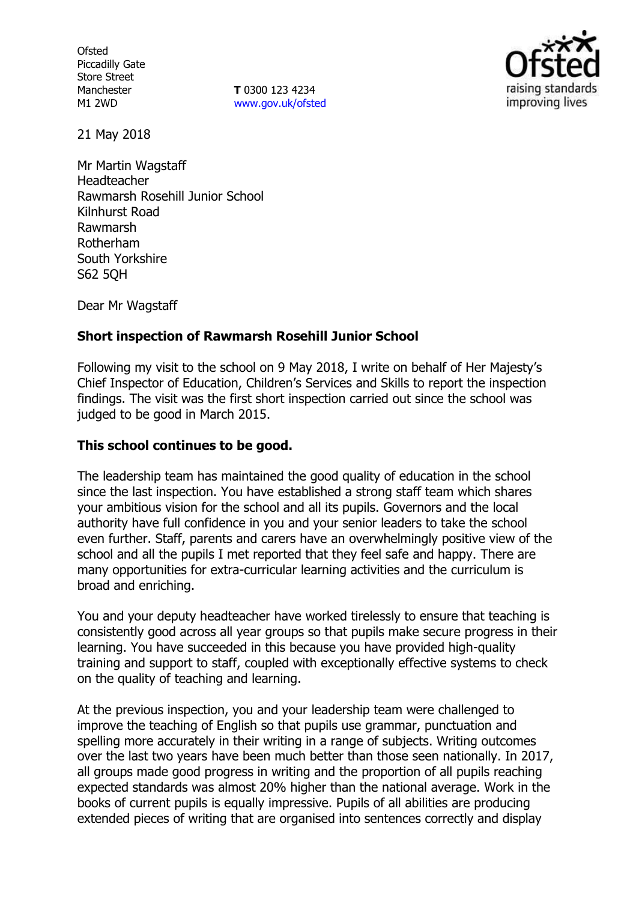**Ofsted** Piccadilly Gate Store Street Manchester M1 2WD

**T** 0300 123 4234 www.gov.uk/ofsted



21 May 2018

Mr Martin Wagstaff Headteacher Rawmarsh Rosehill Junior School Kilnhurst Road Rawmarsh Rotherham South Yorkshire S62 5QH

Dear Mr Wagstaff

## **Short inspection of Rawmarsh Rosehill Junior School**

Following my visit to the school on 9 May 2018, I write on behalf of Her Majesty's Chief Inspector of Education, Children's Services and Skills to report the inspection findings. The visit was the first short inspection carried out since the school was judged to be good in March 2015.

## **This school continues to be good.**

The leadership team has maintained the good quality of education in the school since the last inspection. You have established a strong staff team which shares your ambitious vision for the school and all its pupils. Governors and the local authority have full confidence in you and your senior leaders to take the school even further. Staff, parents and carers have an overwhelmingly positive view of the school and all the pupils I met reported that they feel safe and happy. There are many opportunities for extra-curricular learning activities and the curriculum is broad and enriching.

You and your deputy headteacher have worked tirelessly to ensure that teaching is consistently good across all year groups so that pupils make secure progress in their learning. You have succeeded in this because you have provided high-quality training and support to staff, coupled with exceptionally effective systems to check on the quality of teaching and learning.

At the previous inspection, you and your leadership team were challenged to improve the teaching of English so that pupils use grammar, punctuation and spelling more accurately in their writing in a range of subjects. Writing outcomes over the last two years have been much better than those seen nationally. In 2017, all groups made good progress in writing and the proportion of all pupils reaching expected standards was almost 20% higher than the national average. Work in the books of current pupils is equally impressive. Pupils of all abilities are producing extended pieces of writing that are organised into sentences correctly and display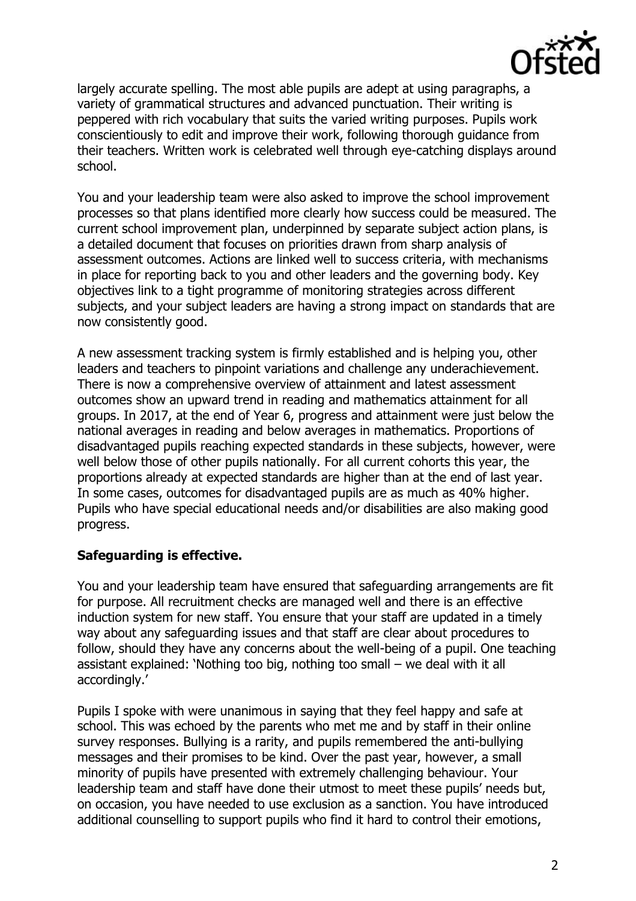

largely accurate spelling. The most able pupils are adept at using paragraphs, a variety of grammatical structures and advanced punctuation. Their writing is peppered with rich vocabulary that suits the varied writing purposes. Pupils work conscientiously to edit and improve their work, following thorough guidance from their teachers. Written work is celebrated well through eye-catching displays around school.

You and your leadership team were also asked to improve the school improvement processes so that plans identified more clearly how success could be measured. The current school improvement plan, underpinned by separate subject action plans, is a detailed document that focuses on priorities drawn from sharp analysis of assessment outcomes. Actions are linked well to success criteria, with mechanisms in place for reporting back to you and other leaders and the governing body. Key objectives link to a tight programme of monitoring strategies across different subjects, and your subject leaders are having a strong impact on standards that are now consistently good.

A new assessment tracking system is firmly established and is helping you, other leaders and teachers to pinpoint variations and challenge any underachievement. There is now a comprehensive overview of attainment and latest assessment outcomes show an upward trend in reading and mathematics attainment for all groups. In 2017, at the end of Year 6, progress and attainment were just below the national averages in reading and below averages in mathematics. Proportions of disadvantaged pupils reaching expected standards in these subjects, however, were well below those of other pupils nationally. For all current cohorts this year, the proportions already at expected standards are higher than at the end of last year. In some cases, outcomes for disadvantaged pupils are as much as 40% higher. Pupils who have special educational needs and/or disabilities are also making good progress.

### **Safeguarding is effective.**

You and your leadership team have ensured that safeguarding arrangements are fit for purpose. All recruitment checks are managed well and there is an effective induction system for new staff. You ensure that your staff are updated in a timely way about any safeguarding issues and that staff are clear about procedures to follow, should they have any concerns about the well-being of a pupil. One teaching assistant explained: 'Nothing too big, nothing too small – we deal with it all accordingly.'

Pupils I spoke with were unanimous in saying that they feel happy and safe at school. This was echoed by the parents who met me and by staff in their online survey responses. Bullying is a rarity, and pupils remembered the anti-bullying messages and their promises to be kind. Over the past year, however, a small minority of pupils have presented with extremely challenging behaviour. Your leadership team and staff have done their utmost to meet these pupils' needs but, on occasion, you have needed to use exclusion as a sanction. You have introduced additional counselling to support pupils who find it hard to control their emotions,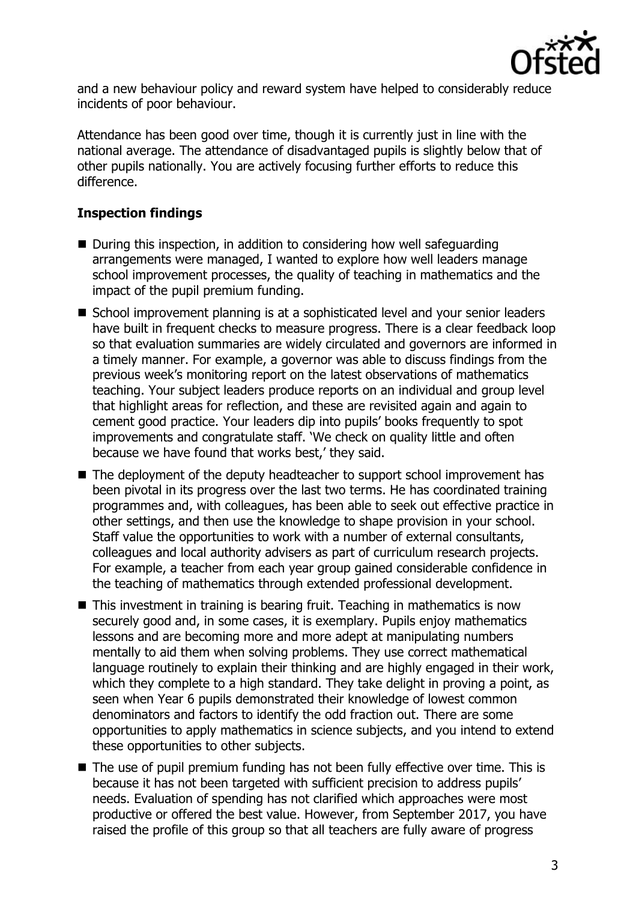

and a new behaviour policy and reward system have helped to considerably reduce incidents of poor behaviour.

Attendance has been good over time, though it is currently just in line with the national average. The attendance of disadvantaged pupils is slightly below that of other pupils nationally. You are actively focusing further efforts to reduce this difference.

# **Inspection findings**

- $\blacksquare$  During this inspection, in addition to considering how well safeguarding arrangements were managed, I wanted to explore how well leaders manage school improvement processes, the quality of teaching in mathematics and the impact of the pupil premium funding.
- School improvement planning is at a sophisticated level and your senior leaders have built in frequent checks to measure progress. There is a clear feedback loop so that evaluation summaries are widely circulated and governors are informed in a timely manner. For example, a governor was able to discuss findings from the previous week's monitoring report on the latest observations of mathematics teaching. Your subject leaders produce reports on an individual and group level that highlight areas for reflection, and these are revisited again and again to cement good practice. Your leaders dip into pupils' books frequently to spot improvements and congratulate staff. 'We check on quality little and often because we have found that works best,' they said.
- The deployment of the deputy headteacher to support school improvement has been pivotal in its progress over the last two terms. He has coordinated training programmes and, with colleagues, has been able to seek out effective practice in other settings, and then use the knowledge to shape provision in your school. Staff value the opportunities to work with a number of external consultants, colleagues and local authority advisers as part of curriculum research projects. For example, a teacher from each year group gained considerable confidence in the teaching of mathematics through extended professional development.
- This investment in training is bearing fruit. Teaching in mathematics is now securely good and, in some cases, it is exemplary. Pupils enjoy mathematics lessons and are becoming more and more adept at manipulating numbers mentally to aid them when solving problems. They use correct mathematical language routinely to explain their thinking and are highly engaged in their work, which they complete to a high standard. They take delight in proving a point, as seen when Year 6 pupils demonstrated their knowledge of lowest common denominators and factors to identify the odd fraction out. There are some opportunities to apply mathematics in science subjects, and you intend to extend these opportunities to other subjects.
- The use of pupil premium funding has not been fully effective over time. This is because it has not been targeted with sufficient precision to address pupils' needs. Evaluation of spending has not clarified which approaches were most productive or offered the best value. However, from September 2017, you have raised the profile of this group so that all teachers are fully aware of progress